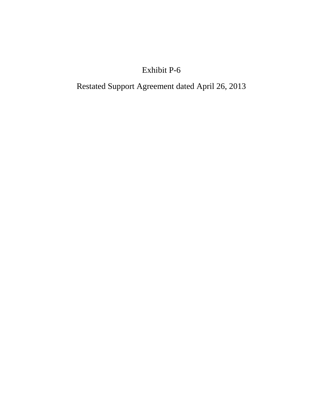# Exhibit P-6

Restated Support Agreement dated April 26, 2013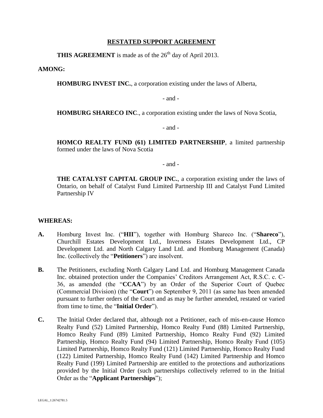## **RESTATED SUPPORT AGREEMENT**

**THIS AGREEMENT** is made as of the 26<sup>th</sup> day of April 2013.

**AMONG:**

**HOMBURG INVEST INC.**, a corporation existing under the laws of Alberta,

- and -

**HOMBURG SHARECO INC**., a corporation existing under the laws of Nova Scotia,

- and -

**HOMCO REALTY FUND (61) LIMITED PARTNERSHIP**, a limited partnership formed under the laws of Nova Scotia

- and -

**THE CATALYST CAPITAL GROUP INC., a corporation existing under the laws of** Ontario, on behalf of Catalyst Fund Limited Partnership III and Catalyst Fund Limited Partnership IV

#### **WHEREAS:**

- **A.** Homburg Invest Inc. ("**HII**"), together with Homburg Shareco Inc. ("**Shareco**"), Churchill Estates Development Ltd., Inverness Estates Development Ltd., CP Development Ltd. and North Calgary Land Ltd. and Homburg Management (Canada) Inc. (collectively the "**Petitioners**") are insolvent.
- **B.** The Petitioners, excluding North Calgary Land Ltd. and Homburg Management Canada Inc. obtained protection under the Companies' Creditors Arrangement Act, R.S.C. c. C-36, as amended (the "**CCAA**") by an Order of the Superior Court of Quebec (Commercial Division) (the "**Court**") on September 9, 2011 (as same has been amended pursuant to further orders of the Court and as may be further amended, restated or varied from time to time, the "**Initial Order**").
- **C.** The Initial Order declared that, although not a Petitioner, each of mis-en-cause Homco Realty Fund (52) Limited Partnership, Homco Realty Fund (88) Limited Partnership, Homco Realty Fund (89) Limited Partnership, Homco Realty Fund (92) Limited Partnership, Homco Realty Fund (94) Limited Partnership, Homco Realty Fund (105) Limited Partnership, Homco Realty Fund (121) Limited Partnership, Homco Realty Fund (122) Limited Partnership, Homco Realty Fund (142) Limited Partnership and Homco Realty Fund (199) Limited Partnership are entitled to the protections and authorizations provided by the Initial Order (such partnerships collectively referred to in the Initial Order as the "**Applicant Partnerships**");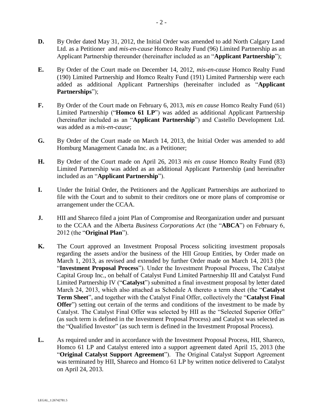- **D.** By Order dated May 31, 2012, the Initial Order was amended to add North Calgary Land Ltd. as a Petitioner and *mis-en-cause* Homco Realty Fund (96) Limited Partnership as an Applicant Partnership thereunder (hereinafter included as an "**Applicant Partnership**");
- **E.** By Order of the Court made on December 14, 2012, *mis-en-cause* Homco Realty Fund (190) Limited Partnership and Homco Realty Fund (191) Limited Partnership were each added as additional Applicant Partnerships (hereinafter included as "**Applicant Partnerships**");
- **F.** By Order of the Court made on February 6, 2013, *mis en cause* Homco Realty Fund (61) Limited Partnership ("**Homco 61 LP**") was added as additional Applicant Partnership (hereinafter included as an "**Applicant Partnership**") and Castello Development Ltd. was added as a *mis-en-cause*;
- **G.** By Order of the Court made on March 14, 2013, the Initial Order was amended to add Homburg Management Canada Inc. as a Petitioner;
- **H.** By Order of the Court made on April 26, 2013 *mis en cause* Homco Realty Fund (83) Limited Partnership was added as an additional Applicant Partnership (and hereinafter included as an "**Applicant Partnership**").
- **I.** Under the Initial Order, the Petitioners and the Applicant Partnerships are authorized to file with the Court and to submit to their creditors one or more plans of compromise or arrangement under the CCAA.
- **J.** HII and Shareco filed a joint Plan of Compromise and Reorganization under and pursuant to the CCAA and the Alberta *Business Corporations Act* (the "**ABCA**") on February 6, 2012 (the "**Original Plan**").
- **K.** The Court approved an Investment Proposal Process soliciting investment proposals regarding the assets and/or the business of the HII Group Entities, by Order made on March 1, 2013, as revised and extended by further Order made on March 14, 2013 (the "**Investment Proposal Process**"). Under the Investment Proposal Process, The Catalyst Capital Group Inc., on behalf of Catalyst Fund Limited Partnership III and Catalyst Fund Limited Partnership IV ("**Catalyst**") submitted a final investment proposal by letter dated March 24, 2013, which also attached as Schedule A thereto a term sheet (the "**Catalyst Term Sheet**", and together with the Catalyst Final Offer, collectively the "**Catalyst Final Offer**") setting out certain of the terms and conditions of the investment to be made by Catalyst. The Catalyst Final Offer was selected by HII as the "Selected Superior Offer" (as such term is defined in the Investment Proposal Process) and Catalyst was selected as the "Qualified Investor" (as such term is defined in the Investment Proposal Process).
- **L.** As required under and in accordance with the Investment Proposal Process, HII, Shareco, Homco 61 LP and Catalyst entered into a support agreement dated April 15, 2013 (the "**Original Catalyst Support Agreement**"). The Original Catalyst Support Agreement was terminated by HII, Shareco and Homco 61 LP by written notice delivered to Catalyst on April 24, 2013.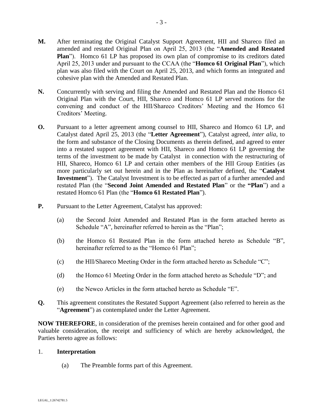- **M.** After terminating the Original Catalyst Support Agreement, HII and Shareco filed an amended and restated Original Plan on April 25, 2013 (the "**Amended and Restated Plan**"). Homco 61 LP has proposed its own plan of compromise to its creditors dated April 25, 2013 under and pursuant to the CCAA (the "**Homco 61 Original Plan**"), which plan was also filed with the Court on April 25, 2013, and which forms an integrated and cohesive plan with the Amended and Restated Plan.
- **N.** Concurrently with serving and filing the Amended and Restated Plan and the Homco 61 Original Plan with the Court, HII, Shareco and Homco 61 LP served motions for the convening and conduct of the HII/Shareco Creditors' Meeting and the Homco 61 Creditors' Meeting.
- **O.** Pursuant to a letter agreement among counsel to HII, Shareco and Homco 61 LP, and Catalyst dated April 25, 2013 (the "**Letter Agreement**"), Catalyst agreed, *inter alia*, to the form and substance of the Closing Documents as therein defined, and agreed to enter into a restated support agreement with HII, Shareco and Homco 61 LP governing the terms of the investment to be made by Catalyst in connection with the restructuring of HII, Shareco, Homco 61 LP and certain other members of the HII Group Entities (as more particularly set out herein and in the Plan as hereinafter defined, the "**Catalyst Investment**"). The Catalyst Investment is to be effected as part of a further amended and restated Plan (the "**Second Joint Amended and Restated Plan**" or the **"Plan**") and a restated Homco 61 Plan (the "**Homco 61 Restated Plan**").
- **P.** Pursuant to the Letter Agreement, Catalyst has approved:
	- (a) the Second Joint Amended and Restated Plan in the form attached hereto as Schedule "A", hereinafter referred to herein as the "Plan":
	- (b) the Homco 61 Restated Plan in the form attached hereto as Schedule "B", hereinafter referred to as the "Homco 61 Plan";
	- (c) the HII/Shareco Meeting Order in the form attached hereto as Schedule "C";
	- (d) the Homco 61 Meeting Order in the form attached hereto as Schedule "D"; and
	- (e) the Newco Articles in the form attached hereto as Schedule "E".
- **Q.** This agreement constitutes the Restated Support Agreement (also referred to herein as the "**Agreement**") as contemplated under the Letter Agreement.

**NOW THEREFORE**, in consideration of the premises herein contained and for other good and valuable consideration, the receipt and sufficiency of which are hereby acknowledged, the Parties hereto agree as follows:

## 1. **Interpretation**

(a) The Preamble forms part of this Agreement.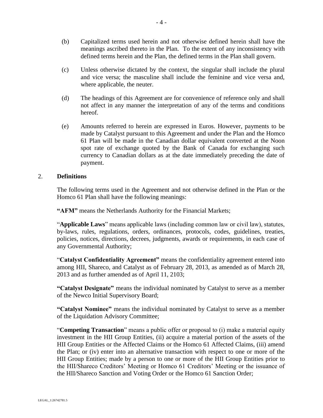- (b) Capitalized terms used herein and not otherwise defined herein shall have the meanings ascribed thereto in the Plan. To the extent of any inconsistency with defined terms herein and the Plan, the defined terms in the Plan shall govern.
- (c) Unless otherwise dictated by the context, the singular shall include the plural and vice versa; the masculine shall include the feminine and vice versa and, where applicable, the neuter.
- (d) The headings of this Agreement are for convenience of reference only and shall not affect in any manner the interpretation of any of the terms and conditions hereof.
- (e) Amounts referred to herein are expressed in Euros. However, payments to be made by Catalyst pursuant to this Agreement and under the Plan and the Homco 61 Plan will be made in the Canadian dollar equivalent converted at the Noon spot rate of exchange quoted by the Bank of Canada for exchanging such currency to Canadian dollars as at the date immediately preceding the date of payment.

#### 2. **Definitions**

The following terms used in the Agreement and not otherwise defined in the Plan or the Homco 61 Plan shall have the following meanings:

**"AFM"** means the Netherlands Authority for the Financial Markets;

"**Applicable Laws**" means applicable laws (including common law or civil law), statutes, by-laws, rules, regulations, orders, ordinances, protocols, codes, guidelines, treaties, policies, notices, directions, decrees, judgments, awards or requirements, in each case of any Governmental Authority;

"**Catalyst Confidentiality Agreement"** means the confidentiality agreement entered into among HII, Shareco, and Catalyst as of February 28, 2013, as amended as of March 28, 2013 and as further amended as of April 11, 2103;

**"Catalyst Designate"** means the individual nominated by Catalyst to serve as a member of the Newco Initial Supervisory Board;

**"Catalyst Nominee"** means the individual nominated by Catalyst to serve as a member of the Liquidation Advisory Committee;

"**Competing Transaction**" means a public offer or proposal to (i) make a material equity investment in the HII Group Entities, (ii) acquire a material portion of the assets of the HII Group Entities or the Affected Claims or the Homco 61 Affected Claims, (iii) amend the Plan; or (iv) enter into an alternative transaction with respect to one or more of the HII Group Entities; made by a person to one or more of the HII Group Entities prior to the HII/Shareco Creditors' Meeting or Homco 61 Creditors' Meeting or the issuance of the HII/Shareco Sanction and Voting Order or the Homco 61 Sanction Order;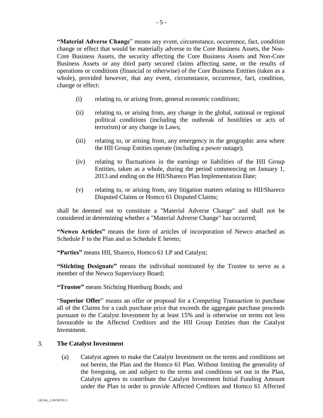**"Material Adverse Change**" means any event, circumstance, occurrence, fact, condition change or effect that would be materially adverse to the Core Business Assets, the Non-Core Business Assets, the security affecting the Core Business Assets and Non-Core Business Assets or any third party secured claims affecting same, or the results of operations or conditions (financial or otherwise) of the Core Business Entities (taken as a whole), provided however, that any event, circumstance, occurrence, fact, condition, change or effect:

- (i) relating to, or arising from, general economic conditions;
- (ii) relating to, or arising from, any change in the global, national or regional political conditions (including the outbreak of hostilities or acts of terrorism) or any change in Laws;
- (iii) relating to, or arising from, any emergency in the geographic area where the HII Group Entities operate (including a power outage);
- (iv) relating to fluctuations in the earnings or liabilities of the HII Group Entities, taken as a whole, during the period commencing on January 1, 2013 and ending on the HII/Shareco Plan Implementation Date;
- (v) relating to, or arising from, any litigation matters relating to HII/Shareco Disputed Claims or Homco 61 Disputed Claims;

shall be deemed not to constitute a "Material Adverse Change" and shall not be considered in determining whether a "Material Adverse Change" has occurred;

**"Newco Articles"** means the form of articles of incorporation of Newco attached as Schedule F to the Plan and as Schedule E hereto;

**"Parties"** means HII, Shareco, Homco 61 LP and Catalyst;

**"Stichting Designate"** means the individual nominated by the Trustee to serve as a member of the Newco Supervisory Board;

**"Trustee"** means Stichting Homburg Bonds; and

"**Superior Offer**" means an offer or proposal for a Competing Transaction to purchase all of the Claims for a cash purchase price that exceeds the aggregate purchase proceeds pursuant to the Catalyst Investment by at least 15% and is otherwise on terms not less favourable to the Affected Creditors and the HII Group Entities than the Catalyst Investment.

#### 3. **The Catalyst Investment**

(a) Catalyst agrees to make the Catalyst Investment on the terms and conditions set out herein, the Plan and the Homco 61 Plan. Without limiting the generality of the foregoing, on and subject to the terms and conditions set out in the Plan, Catalyst agrees to contribute the Catalyst Investment Initial Funding Amount under the Plan in order to provide Affected Creditors and Homco 61 Affected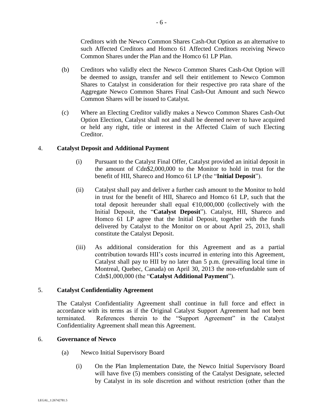Creditors with the Newco Common Shares Cash-Out Option as an alternative to such Affected Creditors and Homco 61 Affected Creditors receiving Newco Common Shares under the Plan and the Homco 61 LP Plan.

- (b) Creditors who validly elect the Newco Common Shares Cash-Out Option will be deemed to assign, transfer and sell their entitlement to Newco Common Shares to Catalyst in consideration for their respective pro rata share of the Aggregate Newco Common Shares Final Cash-Out Amount and such Newco Common Shares will be issued to Catalyst.
- (c) Where an Electing Creditor validly makes a Newco Common Shares Cash-Out Option Election, Catalyst shall not and shall be deemed never to have acquired or held any right, title or interest in the Affected Claim of such Electing Creditor.

## 4. **Catalyst Deposit and Additional Payment**

- (i) Pursuant to the Catalyst Final Offer, Catalyst provided an initial deposit in the amount of Cdn\$2,000,000 to the Monitor to hold in trust for the benefit of HII, Shareco and Homco 61 LP (the "**Initial Deposit**").
- (ii) Catalyst shall pay and deliver a further cash amount to the Monitor to hold in trust for the benefit of HII, Shareco and Homco 61 LP, such that the total deposit hereunder shall equal  $£10,000,000$  (collectively with the Initial Deposit, the "**Catalyst Deposit**"). Catalyst, HII, Shareco and Homco 61 LP agree that the Initial Deposit, together with the funds delivered by Catalyst to the Monitor on or about April 25, 2013, shall constitute the Catalyst Deposit.
- (iii) As additional consideration for this Agreement and as a partial contribution towards HII's costs incurred in entering into this Agreement, Catalyst shall pay to HII by no later than 5 p.m. (prevailing local time in Montreal, Quebec, Canada) on April 30, 2013 the non-refundable sum of Cdn\$1,000,000 (the "**Catalyst Additional Payment**").

## 5. **Catalyst Confidentiality Agreement**

The Catalyst Confidentiality Agreement shall continue in full force and effect in accordance with its terms as if the Original Catalyst Support Agreement had not been terminated. References therein to the "Support Agreement" in the Catalyst Confidentiality Agreement shall mean this Agreement.

## 6. **Governance of Newco**

- (a) Newco Initial Supervisory Board
	- (i) On the Plan Implementation Date, the Newco Initial Supervisory Board will have five (5) members consisting of the Catalyst Designate, selected by Catalyst in its sole discretion and without restriction (other than the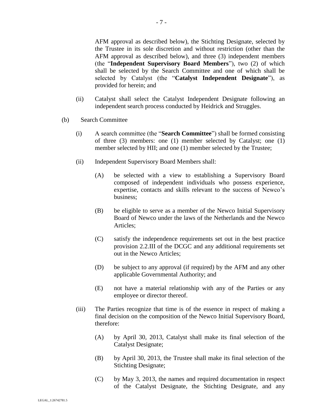AFM approval as described below), the Stichting Designate, selected by the Trustee in its sole discretion and without restriction (other than the AFM approval as described below), and three (3) independent members (the "**Independent Supervisory Board Members**"), two (2) of which shall be selected by the Search Committee and one of which shall be selected by Catalyst (the "**Catalyst Independent Designate**"), as provided for herein; and

- (ii) Catalyst shall select the Catalyst Independent Designate following an independent search process conducted by Heidrick and Struggles.
- (b) Search Committee
	- (i) A search committee (the "**Search Committee**") shall be formed consisting of three (3) members: one (1) member selected by Catalyst; one (1) member selected by HII; and one (1) member selected by the Trustee;
	- (ii) Independent Supervisory Board Members shall:
		- (A) be selected with a view to establishing a Supervisory Board composed of independent individuals who possess experience, expertise, contacts and skills relevant to the success of Newco's business;
		- (B) be eligible to serve as a member of the Newco Initial Supervisory Board of Newco under the laws of the Netherlands and the Newco Articles;
		- (C) satisfy the independence requirements set out in the best practice provision 2.2.III of the DCGC and any additional requirements set out in the Newco Articles;
		- (D) be subject to any approval (if required) by the AFM and any other applicable Governmental Authority; and
		- (E) not have a material relationship with any of the Parties or any employee or director thereof.
	- (iii) The Parties recognize that time is of the essence in respect of making a final decision on the composition of the Newco Initial Supervisory Board, therefore:
		- (A) by April 30, 2013, Catalyst shall make its final selection of the Catalyst Designate;
		- (B) by April 30, 2013, the Trustee shall make its final selection of the Stichting Designate;
		- (C) by May 3, 2013, the names and required documentation in respect of the Catalyst Designate, the Stichting Designate, and any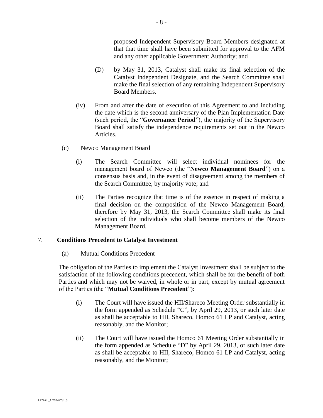proposed Independent Supervisory Board Members designated at that that time shall have been submitted for approval to the AFM and any other applicable Government Authority; and

- (D) by May 31, 2013, Catalyst shall make its final selection of the Catalyst Independent Designate, and the Search Committee shall make the final selection of any remaining Independent Supervisory Board Members.
- (iv) From and after the date of execution of this Agreement to and including the date which is the second anniversary of the Plan Implementation Date (such period, the "**Governance Period**"), the majority of the Supervisory Board shall satisfy the independence requirements set out in the Newco Articles.
- (c) Newco Management Board
	- (i) The Search Committee will select individual nominees for the management board of Newco (the "**Newco Management Board**") on a consensus basis and, in the event of disagreement among the members of the Search Committee, by majority vote; and
	- (ii) The Parties recognize that time is of the essence in respect of making a final decision on the composition of the Newco Management Board, therefore by May 31, 2013, the Search Committee shall make its final selection of the individuals who shall become members of the Newco Management Board.

## 7. **Conditions Precedent to Catalyst Investment**

(a) Mutual Conditions Precedent

The obligation of the Parties to implement the Catalyst Investment shall be subject to the satisfaction of the following conditions precedent, which shall be for the benefit of both Parties and which may not be waived, in whole or in part, except by mutual agreement of the Parties (the "**Mutual Conditions Precedent**"):

- (i) The Court will have issued the HII/Shareco Meeting Order substantially in the form appended as Schedule "C", by April 29, 2013, or such later date as shall be acceptable to HII, Shareco, Homco 61 LP and Catalyst, acting reasonably, and the Monitor;
- (ii) The Court will have issued the Homco 61 Meeting Order substantially in the form appended as Schedule "D" by April 29, 2013, or such later date as shall be acceptable to HII, Shareco, Homco 61 LP and Catalyst, acting reasonably, and the Monitor;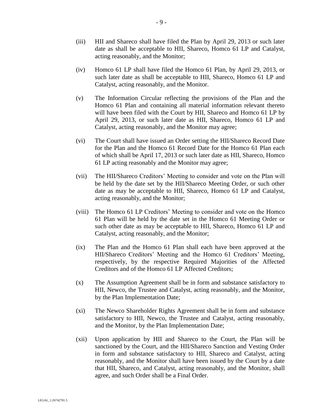- (iii) HII and Shareco shall have filed the Plan by April 29, 2013 or such later date as shall be acceptable to HII, Shareco, Homco 61 LP and Catalyst, acting reasonably, and the Monitor;
- (iv) Homco 61 LP shall have filed the Homco 61 Plan, by April 29, 2013, or such later date as shall be acceptable to HII, Shareco, Homco 61 LP and Catalyst, acting reasonably, and the Monitor.
- (v) The Information Circular reflecting the provisions of the Plan and the Homco 61 Plan and containing all material information relevant thereto will have been filed with the Court by HII, Shareco and Homco 61 LP by April 29, 2013, or such later date as HII, Shareco, Homco 61 LP and Catalyst, acting reasonably, and the Monitor may agree;
- (vi) The Court shall have issued an Order setting the HII/Shareco Record Date for the Plan and the Homco 61 Record Date for the Homco 61 Plan each of which shall be April 17, 2013 or such later date as HII, Shareco, Homco 61 LP acting reasonably and the Monitor may agree;
- (vii) The HII/Shareco Creditors' Meeting to consider and vote on the Plan will be held by the date set by the HII/Shareco Meeting Order, or such other date as may be acceptable to HII, Shareco, Homco 61 LP and Catalyst, acting reasonably, and the Monitor;
- (viii) The Homco 61 LP Creditors' Meeting to consider and vote on the Homco 61 Plan will be held by the date set in the Homco 61 Meeting Order or such other date as may be acceptable to HII, Shareco, Homco 61 LP and Catalyst, acting reasonably, and the Monitor;
- (ix) The Plan and the Homco 61 Plan shall each have been approved at the HII/Shareco Creditors' Meeting and the Homco 61 Creditors' Meeting, respectively, by the respective Required Majorities of the Affected Creditors and of the Homco 61 LP Affected Creditors;
- (x) The Assumption Agreement shall be in form and substance satisfactory to HII, Newco, the Trustee and Catalyst, acting reasonably, and the Monitor, by the Plan Implementation Date;
- (xi) The Newco Shareholder Rights Agreement shall be in form and substance satisfactory to HII, Newco, the Trustee and Catalyst, acting reasonably, and the Monitor, by the Plan Implementation Date;
- (xii) Upon application by HII and Shareco to the Court, the Plan will be sanctioned by the Court, and the HII/Shareco Sanction and Vesting Order in form and substance satisfactory to HII, Shareco and Catalyst, acting reasonably, and the Monitor shall have been issued by the Court by a date that HII, Shareco, and Catalyst, acting reasonably, and the Monitor, shall agree, and such Order shall be a Final Order.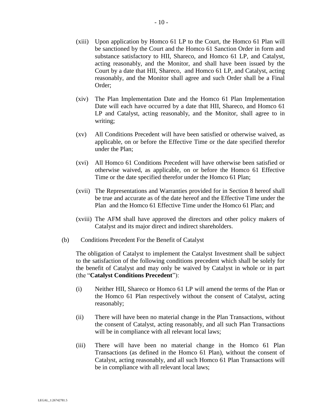- (xiii) Upon application by Homco 61 LP to the Court, the Homco 61 Plan will be sanctioned by the Court and the Homco 61 Sanction Order in form and substance satisfactory to HII, Shareco, and Homco 61 LP, and Catalyst, acting reasonably, and the Monitor, and shall have been issued by the Court by a date that HII, Shareco, and Homco 61 LP, and Catalyst, acting reasonably, and the Monitor shall agree and such Order shall be a Final Order;
- (xiv) The Plan Implementation Date and the Homco 61 Plan Implementation Date will each have occurred by a date that HII, Shareco, and Homco 61 LP and Catalyst, acting reasonably, and the Monitor, shall agree to in writing;
- (xv) All Conditions Precedent will have been satisfied or otherwise waived, as applicable, on or before the Effective Time or the date specified therefor under the Plan;
- (xvi) All Homco 61 Conditions Precedent will have otherwise been satisfied or otherwise waived, as applicable, on or before the Homco 61 Effective Time or the date specified therefor under the Homco 61 Plan;
- (xvii) The Representations and Warranties provided for in Section 8 hereof shall be true and accurate as of the date hereof and the Effective Time under the Plan and the Homco 61 Effective Time under the Homco 61 Plan; and
- (xviii) The AFM shall have approved the directors and other policy makers of Catalyst and its major direct and indirect shareholders.
- (b) Conditions Precedent For the Benefit of Catalyst

The obligation of Catalyst to implement the Catalyst Investment shall be subject to the satisfaction of the following conditions precedent which shall be solely for the benefit of Catalyst and may only be waived by Catalyst in whole or in part (the "**Catalyst Conditions Precedent**"):

- (i) Neither HII, Shareco or Homco 61 LP will amend the terms of the Plan or the Homco 61 Plan respectively without the consent of Catalyst, acting reasonably;
- (ii) There will have been no material change in the Plan Transactions, without the consent of Catalyst, acting reasonably, and all such Plan Transactions will be in compliance with all relevant local laws;
- (iii) There will have been no material change in the Homco 61 Plan Transactions (as defined in the Homco 61 Plan), without the consent of Catalyst, acting reasonably, and all such Homco 61 Plan Transactions will be in compliance with all relevant local laws;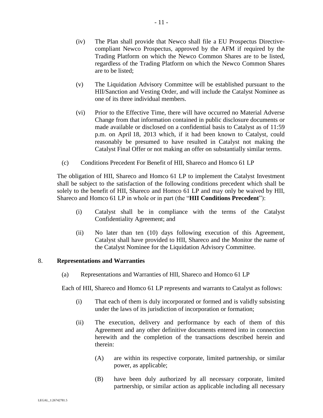- (iv) The Plan shall provide that Newco shall file a EU Prospectus Directivecompliant Newco Prospectus, approved by the AFM if required by the Trading Platform on which the Newco Common Shares are to be listed, regardless of the Trading Platform on which the Newco Common Shares are to be listed;
- (v) The Liquidation Advisory Committee will be established pursuant to the HII/Sanction and Vesting Order, and will include the Catalyst Nominee as one of its three individual members.
- (vi) Prior to the Effective Time, there will have occurred no Material Adverse Change from that information contained in public disclosure documents or made available or disclosed on a confidential basis to Catalyst as of 11:59 p.m. on April 18, 2013 which, if it had been known to Catalyst, could reasonably be presumed to have resulted in Catalyst not making the Catalyst Final Offer or not making an offer on substantially similar terms.
- (c) Conditions Precedent For Benefit of HII, Shareco and Homco 61 LP

The obligation of HII, Shareco and Homco 61 LP to implement the Catalyst Investment shall be subject to the satisfaction of the following conditions precedent which shall be solely to the benefit of HII, Shareco and Homco 61 LP and may only be waived by HII, Shareco and Homco 61 LP in whole or in part (the "**HII Conditions Precedent**"):

- (i) Catalyst shall be in compliance with the terms of the Catalyst Confidentiality Agreement; and
- (ii) No later than ten (10) days following execution of this Agreement, Catalyst shall have provided to HII, Shareco and the Monitor the name of the Catalyst Nominee for the Liquidation Advisory Committee.

## 8. **Representations and Warranties**

(a) Representations and Warranties of HII, Shareco and Homco 61 LP

Each of HII, Shareco and Homco 61 LP represents and warrants to Catalyst as follows:

- (i) That each of them is duly incorporated or formed and is validly subsisting under the laws of its jurisdiction of incorporation or formation;
- (ii) The execution, delivery and performance by each of them of this Agreement and any other definitive documents entered into in connection herewith and the completion of the transactions described herein and therein:
	- (A) are within its respective corporate, limited partnership, or similar power, as applicable;
	- (B) have been duly authorized by all necessary corporate, limited partnership, or similar action as applicable including all necessary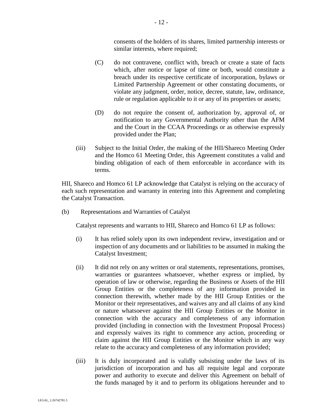consents of the holders of its shares, limited partnership interests or similar interests, where required;

- (C) do not contravene, conflict with, breach or create a state of facts which, after notice or lapse of time or both, would constitute a breach under its respective certificate of incorporation, bylaws or Limited Partnership Agreement or other constating documents, or violate any judgment, order, notice, decree, statute, law, ordinance, rule or regulation applicable to it or any of its properties or assets;
- (D) do not require the consent of, authorization by, approval of, or notification to any Governmental Authority other than the AFM and the Court in the CCAA Proceedings or as otherwise expressly provided under the Plan;
- (iii) Subject to the Initial Order, the making of the HII/Shareco Meeting Order and the Homco 61 Meeting Order, this Agreement constitutes a valid and binding obligation of each of them enforceable in accordance with its terms.

HII, Shareco and Homco 61 LP acknowledge that Catalyst is relying on the accuracy of each such representation and warranty in entering into this Agreement and completing the Catalyst Transaction.

(b) Representations and Warranties of Catalyst

Catalyst represents and warrants to HII, Shareco and Homco 61 LP as follows:

- (i) It has relied solely upon its own independent review, investigation and or inspection of any documents and or liabilities to be assumed in making the Catalyst Investment;
- (ii) It did not rely on any written or oral statements, representations, promises, warranties or guarantees whatsoever, whether express or implied, by operation of law or otherwise, regarding the Business or Assets of the HII Group Entities or the completeness of any information provided in connection therewith, whether made by the HII Group Entities or the Monitor or their representatives, and waives any and all claims of any kind or nature whatsoever against the HII Group Entities or the Monitor in connection with the accuracy and completeness of any information provided (including in connection with the Investment Proposal Process) and expressly waives its right to commence any action, proceeding or claim against the HII Group Entities or the Monitor which in any way relate to the accuracy and completeness of any information provided;
- (iii) It is duly incorporated and is validly subsisting under the laws of its jurisdiction of incorporation and has all requisite legal and corporate power and authority to execute and deliver this Agreement on behalf of the funds managed by it and to perform its obligations hereunder and to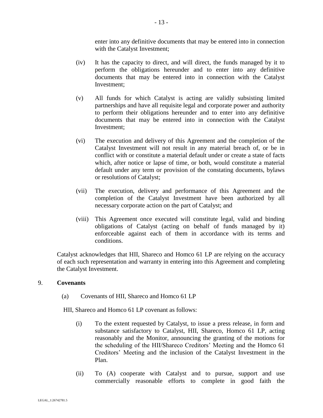enter into any definitive documents that may be entered into in connection with the Catalyst Investment;

- (iv) It has the capacity to direct, and will direct, the funds managed by it to perform the obligations hereunder and to enter into any definitive documents that may be entered into in connection with the Catalyst Investment;
- (v) All funds for which Catalyst is acting are validly subsisting limited partnerships and have all requisite legal and corporate power and authority to perform their obligations hereunder and to enter into any definitive documents that may be entered into in connection with the Catalyst Investment;
- (vi) The execution and delivery of this Agreement and the completion of the Catalyst Investment will not result in any material breach of, or be in conflict with or constitute a material default under or create a state of facts which, after notice or lapse of time, or both, would constitute a material default under any term or provision of the constating documents, bylaws or resolutions of Catalyst;
- (vii) The execution, delivery and performance of this Agreement and the completion of the Catalyst Investment have been authorized by all necessary corporate action on the part of Catalyst; and
- (viii) This Agreement once executed will constitute legal, valid and binding obligations of Catalyst (acting on behalf of funds managed by it) enforceable against each of them in accordance with its terms and conditions.

Catalyst acknowledges that HII, Shareco and Homco 61 LP are relying on the accuracy of each such representation and warranty in entering into this Agreement and completing the Catalyst Investment.

## 9. **Covenants**

(a) Covenants of HII, Shareco and Homco 61 LP

HII, Shareco and Homco 61 LP covenant as follows:

- (i) To the extent requested by Catalyst, to issue a press release, in form and substance satisfactory to Catalyst, HII, Shareco, Homco 61 LP, acting reasonably and the Monitor, announcing the granting of the motions for the scheduling of the HII/Shareco Creditors' Meeting and the Homco 61 Creditors' Meeting and the inclusion of the Catalyst Investment in the Plan.
- (ii) To (A) cooperate with Catalyst and to pursue, support and use commercially reasonable efforts to complete in good faith the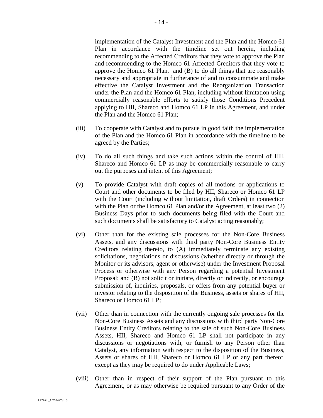implementation of the Catalyst Investment and the Plan and the Homco 61 Plan in accordance with the timeline set out herein, including recommending to the Affected Creditors that they vote to approve the Plan and recommending to the Homco 61 Affected Creditors that they vote to approve the Homco 61 Plan, and (B) to do all things that are reasonably necessary and appropriate in furtherance of and to consummate and make effective the Catalyst Investment and the Reorganization Transaction under the Plan and the Homco 61 Plan, including without limitation using commercially reasonable efforts to satisfy those Conditions Precedent applying to HII, Shareco and Homco 61 LP in this Agreement, and under the Plan and the Homco 61 Plan;

- (iii) To cooperate with Catalyst and to pursue in good faith the implementation of the Plan and the Homco 61 Plan in accordance with the timeline to be agreed by the Parties;
- (iv) To do all such things and take such actions within the control of HII, Shareco and Homco 61 LP as may be commercially reasonable to carry out the purposes and intent of this Agreement;
- (v) To provide Catalyst with draft copies of all motions or applications to Court and other documents to be filed by HII, Shareco or Homco 61 LP with the Court (including without limitation, draft Orders) in connection with the Plan or the Homco 61 Plan and/or the Agreement, at least two  $(2)$ Business Days prior to such documents being filed with the Court and such documents shall be satisfactory to Catalyst acting reasonably;
- (vi) Other than for the existing sale processes for the Non-Core Business Assets, and any discussions with third party Non-Core Business Entity Creditors relating thereto, to (A) immediately terminate any existing solicitations, negotiations or discussions (whether directly or through the Monitor or its advisors, agent or otherwise) under the Investment Proposal Process or otherwise with any Person regarding a potential Investment Proposal; and (B) not solicit or initiate, directly or indirectly, or encourage submission of, inquiries, proposals, or offers from any potential buyer or investor relating to the disposition of the Business, assets or shares of HII, Shareco or Homco 61 LP;
- (vii) Other than in connection with the currently ongoing sale processes for the Non-Core Business Assets and any discussions with third party Non-Core Business Entity Creditors relating to the sale of such Non-Core Business Assets, HII, Shareco and Homco 61 LP shall not participate in any discussions or negotiations with, or furnish to any Person other than Catalyst, any information with respect to the disposition of the Business, Assets or shares of HII, Shareco or Homco 61 LP or any part thereof, except as they may be required to do under Applicable Laws;
- (viii) Other than in respect of their support of the Plan pursuant to this Agreement, or as may otherwise be required pursuant to any Order of the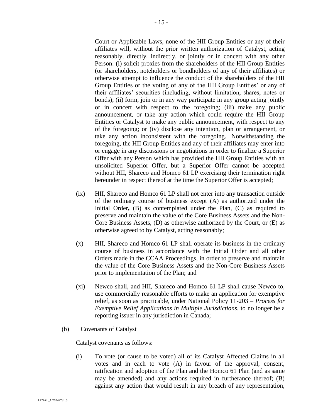Court or Applicable Laws, none of the HII Group Entities or any of their affiliates will, without the prior written authorization of Catalyst, acting reasonably, directly, indirectly, or jointly or in concert with any other Person: (i) solicit proxies from the shareholders of the HII Group Entities (or shareholders, noteholders or bondholders of any of their affiliates) or otherwise attempt to influence the conduct of the shareholders of the HII Group Entities or the voting of any of the HII Group Entities' or any of their affiliates' securities (including, without limitation, shares, notes or bonds); (ii) form, join or in any way participate in any group acting jointly or in concert with respect to the foregoing; (iii) make any public announcement, or take any action which could require the HII Group Entities or Catalyst to make any public announcement, with respect to any of the foregoing; or (iv) disclose any intention, plan or arrangement, or take any action inconsistent with the foregoing. Notwithstanding the foregoing, the HII Group Entities and any of their affiliates may enter into or engage in any discussions or negotiations in order to finalize a Superior Offer with any Person which has provided the HII Group Entities with an unsolicited Superior Offer, but a Superior Offer cannot be accepted without HII, Shareco and Homco 61 LP exercising their termination right hereunder in respect thereof at the time the Superior Offer is accepted;

- (ix) HII, Shareco and Homco 61 LP shall not enter into any transaction outside of the ordinary course of business except (A) as authorized under the Initial Order, (B) as contemplated under the Plan, (C) as required to preserve and maintain the value of the Core Business Assets and the Non-Core Business Assets, (D) as otherwise authorized by the Court, or (E) as otherwise agreed to by Catalyst, acting reasonably;
- (x) HII, Shareco and Homco 61 LP shall operate its business in the ordinary course of business in accordance with the Initial Order and all other Orders made in the CCAA Proceedings, in order to preserve and maintain the value of the Core Business Assets and the Non-Core Business Assets prior to implementation of the Plan; and
- (xi) Newco shall, and HII, Shareco and Homco 61 LP shall cause Newco to, use commercially reasonable efforts to make an application for exemptive relief, as soon as practicable, under National Policy 11-203 – *Process for Exemptive Relief Applications in Multiple Jurisdictions*, to no longer be a reporting issuer in any jurisdiction in Canada;
- (b) Covenants of Catalyst

Catalyst covenants as follows:

(i) To vote (or cause to be voted) all of its Catalyst Affected Claims in all votes and in each to vote (A) in favour of the approval, consent, ratification and adoption of the Plan and the Homco 61 Plan (and as same may be amended) and any actions required in furtherance thereof; (B) against any action that would result in any breach of any representation,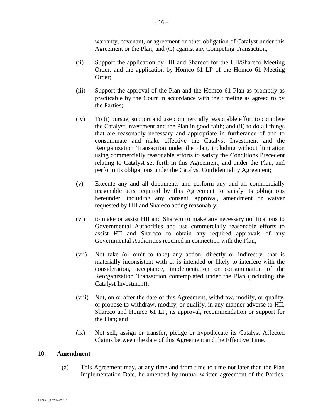warranty, covenant, or agreement or other obligation of Catalyst under this Agreement or the Plan; and (C) against any Competing Transaction;

- (ii) Support the application by HII and Shareco for the HII/Shareco Meeting Order, and the application by Homco 61 LP of the Homco 61 Meeting Order;
- (iii) Support the approval of the Plan and the Homco 61 Plan as promptly as practicable by the Court in accordance with the timeline as agreed to by the Parties;
- (iv) To (i) pursue, support and use commercially reasonable effort to complete the Catalyst Investment and the Plan in good faith; and (ii) to do all things that are reasonably necessary and appropriate in furtherance of and to consummate and make effective the Catalyst Investment and the Reorganization Transaction under the Plan, including without limitation using commercially reasonable efforts to satisfy the Conditions Precedent relating to Catalyst set forth in this Agreement, and under the Plan, and perform its obligations under the Catalyst Confidentiality Agreement;
- (v) Execute any and all documents and perform any and all commercially reasonable acts required by this Agreement to satisfy its obligations hereunder, including any consent, approval, amendment or waiver requested by HII and Shareco acting reasonably;
- (vi) to make or assist HII and Shareco to make any necessary notifications to Governmental Authorities and use commercially reasonable efforts to assist HII and Shareco to obtain any required approvals of any Governmental Authorities required in connection with the Plan;
- (vii) Not take (or omit to take) any action, directly or indirectly, that is materially inconsistent with or is intended or likely to interfere with the consideration, acceptance, implementation or consummation of the Reorganization Transaction contemplated under the Plan (including the Catalyst Investment);
- (viii) Not, on or after the date of this Agreement, withdraw, modify, or qualify, or propose to withdraw, modify, or qualify, in any manner adverse to HII, Shareco and Homco 61 LP, its approval, recommendation or support for the Plan; and
- (ix) Not sell, assign or transfer, pledge or hypothecate its Catalyst Affected Claims between the date of this Agreement and the Effective Time.

### 10. **Amendment**

(a) This Agreement may, at any time and from time to time not later than the Plan Implementation Date, be amended by mutual written agreement of the Parties,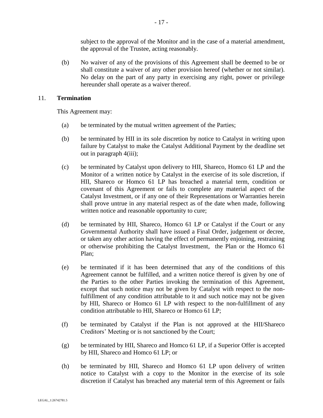subject to the approval of the Monitor and in the case of a material amendment, the approval of the Trustee, acting reasonably.

(b) No waiver of any of the provisions of this Agreement shall be deemed to be or shall constitute a waiver of any other provision hereof (whether or not similar). No delay on the part of any party in exercising any right, power or privilege hereunder shall operate as a waiver thereof.

#### 11. **Termination**

This Agreement may:

- (a) be terminated by the mutual written agreement of the Parties;
- (b) be terminated by HII in its sole discretion by notice to Catalyst in writing upon failure by Catalyst to make the Catalyst Additional Payment by the deadline set out in paragraph 4(iii);
- (c) be terminated by Catalyst upon delivery to HII, Shareco, Homco 61 LP and the Monitor of a written notice by Catalyst in the exercise of its sole discretion, if HII, Shareco or Homco 61 LP has breached a material term, condition or covenant of this Agreement or fails to complete any material aspect of the Catalyst Investment, or if any one of their Representations or Warranties herein shall prove untrue in any material respect as of the date when made, following written notice and reasonable opportunity to cure;
- (d) be terminated by HII, Shareco, Homco 61 LP or Catalyst if the Court or any Governmental Authority shall have issued a Final Order, judgement or decree, or taken any other action having the effect of permanently enjoining, restraining or otherwise prohibiting the Catalyst Investment, the Plan or the Homco 61 Plan;
- (e) be terminated if it has been determined that any of the conditions of this Agreement cannot be fulfilled, and a written notice thereof is given by one of the Parties to the other Parties invoking the termination of this Agreement, except that such notice may not be given by Catalyst with respect to the nonfulfillment of any condition attributable to it and such notice may not be given by HII, Shareco or Homco 61 LP with respect to the non-fulfillment of any condition attributable to HII, Shareco or Homco 61 LP;
- (f) be terminated by Catalyst if the Plan is not approved at the HII/Shareco Creditors' Meeting or is not sanctioned by the Court;
- <span id="page-17-0"></span>(g) be terminated by HII, Shareco and Homco 61 LP, if a Superior Offer is accepted by HII, Shareco and Homco 61 LP; or
- (h) be terminated by HII, Shareco and Homco 61 LP upon delivery of written notice to Catalyst with a copy to the Monitor in the exercise of its sole discretion if Catalyst has breached any material term of this Agreement or fails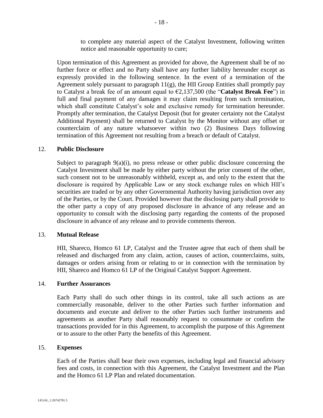to complete any material aspect of the Catalyst Investment, following written notice and reasonable opportunity to cure;

Upon termination of this Agreement as provided for above, the Agreement shall be of no further force or effect and no Party shall have any further liability hereunder except as expressly provided in the following sentence. In the event of a termination of the Agreement solely pursuant to paragraph  $11(g)$ , the HII Group Entities shall promptly pay to Catalyst a break fee of an amount equal to €2,137,500 (the "**Catalyst Break Fee**") in full and final payment of any damages it may claim resulting from such termination, which shall constitute Catalyst's sole and exclusive remedy for termination hereunder. Promptly after termination, the Catalyst Deposit (but for greater certainty not the Catalyst Additional Payment) shall be returned to Catalyst by the Monitor without any offset or counterclaim of any nature whatsoever within two (2) Business Days following termination of this Agreement not resulting from a breach or default of Catalyst.

#### 12. **Public Disclosure**

Subject to paragraph  $9(a)(i)$ , no press release or other public disclosure concerning the Catalyst Investment shall be made by either party without the prior consent of the other, such consent not to be unreasonably withheld, except as, and only to the extent that the disclosure is required by Applicable Law or any stock exchange rules on which HII's securities are traded or by any other Governmental Authority having jurisdiction over any of the Parties, or by the Court. Provided however that the disclosing party shall provide to the other party a copy of any proposed disclosure in advance of any release and an opportunity to consult with the disclosing party regarding the contents of the proposed disclosure in advance of any release and to provide comments thereon.

#### 13. **Mutual Release**

HII, Shareco, Homco 61 LP, Catalyst and the Trustee agree that each of them shall be released and discharged from any claim, action, causes of action, counterclaims, suits, damages or orders arising from or relating to or in connection with the termination by HII, Shareco and Homco 61 LP of the Original Catalyst Support Agreement.

#### 14. **Further Assurances**

Each Party shall do such other things in its control, take all such actions as are commercially reasonable, deliver to the other Parties such further information and documents and execute and deliver to the other Parties such further instruments and agreements as another Party shall reasonably request to consummate or confirm the transactions provided for in this Agreement, to accomplish the purpose of this Agreement or to assure to the other Party the benefits of this Agreement.

#### 15. **Expenses**

Each of the Parties shall bear their own expenses, including legal and financial advisory fees and costs, in connection with this Agreement, the Catalyst Investment and the Plan and the Homco 61 LP Plan and related documentation.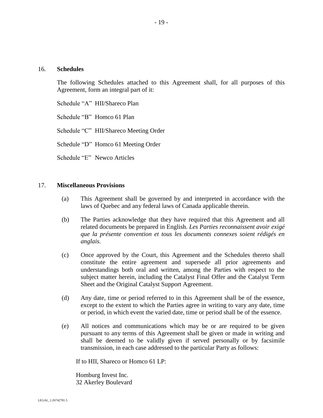#### 16. **Schedules**

The following Schedules attached to this Agreement shall, for all purposes of this Agreement, form an integral part of it:

Schedule "A" HII/Shareco Plan

Schedule "B" Homco 61 Plan

Schedule "C" HII/Shareco Meeting Order

Schedule "D" Homco 61 Meeting Order

Schedule "E" Newco Articles

#### 17. **Miscellaneous Provisions**

- (a) This Agreement shall be governed by and interpreted in accordance with the laws of Quebec and any federal laws of Canada applicable therein.
- (b) The Parties acknowledge that they have required that this Agreement and all related documents be prepared in English. *Les Parties reconnaissent avoir exigé que la présente convention et tous les documents connexes soient rédigés en anglais.*
- (c) Once approved by the Court, this Agreement and the Schedules thereto shall constitute the entire agreement and supersede all prior agreements and understandings both oral and written, among the Parties with respect to the subject matter herein, including the Catalyst Final Offer and the Catalyst Term Sheet and the Original Catalyst Support Agreement.
- (d) Any date, time or period referred to in this Agreement shall be of the essence, except to the extent to which the Parties agree in writing to vary any date, time or period, in which event the varied date, time or period shall be of the essence.
- (e) All notices and communications which may be or are required to be given pursuant to any terms of this Agreement shall be given or made in writing and shall be deemed to be validly given if served personally or by facsimile transmission, in each case addressed to the particular Party as follows:

If to HII, Shareco or Homco 61 LP:

Homburg Invest Inc. 32 Akerley Boulevard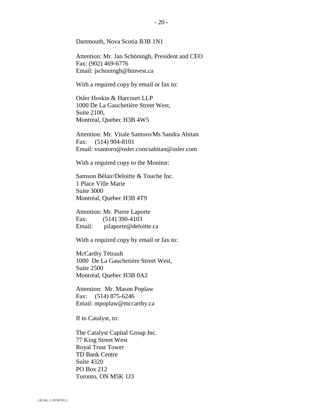Dartmouth, Nova Scotia B3B 1N1

Attention: Mr. Jan Schöningh, President and CEO Fax: (902) 469-6776 Email: jschoningh@hinvest.ca

With a required copy by email or fax to:

Osler Hoskin & Harcourt LLP 1000 De La Gauchetière Street West, Suite 2100, Montreal, Quebec H3B 4W5

Attention: Mr. Vitale Santoro/Ms Sandra Abitan Fax: (514) 904-8101 Email: vsantoro@osler.com/sabitan@osler.com

With a required copy to the Monitor:

Samson Bélair/Deloitte & Touche Inc. 1 Place Ville Marie Suite 3000 Montréal, Quebec H3B 4T9

Attention: Mr. Pierre Laporte Fax: (514) 390-4103 Email: pilaporte@deloitte.ca

With a required copy by email or fax to:

McCarthy Tétrault 1000 De La Gauchetière Street West, Suite 2500 Montréal, Quebec H3B 0A2

Attention: Mr. Mason Poplaw Fax: (514) 875-6246 Email: mpoplaw@mccarthy.ca

If to Catalyst, to:

The Catalyst Capital Group Inc. 77 King Street West Royal Trust Tower TD Bank Centre Suite 4320 PO Box 212 Toronto, ON M5K 1J3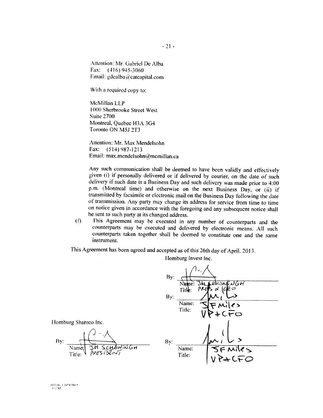Attention: Mr. Gabriel De Alba Fax:  $(416)$  945-3060 Email: gdealba@catcapital.com

With a required copy to:

McMillan LLP 1000 Sherbrooke Street West **Suite 2700** Montreal, Quebec H3A 3G4 Toronto ON M5J 2T3

Attention: Mr. Max Mendelsohn Fax: (514) 987-1213 Email: max.mendelsohn@mcmillan.ca

Any such communication shall be deemed to have been validly and effectively given (i) if personally delivered or if delivered by courier, on the date of such delivery if such date is a Business Day and such delivery was made prior to 4:00 p.m. (Montreal time) and otherwise on the next Business Day, or (ii) if transmitted by facsimile or electronic mail on the Business Day following the date of transmission. Any party may change its address for service from time to time on notice given in accordance with the foregoing and any subsequent notice shall be sent to such party at its changed address.

This Agreement may be executed in any number of counterparts and the  $(f)$ counterparts may be executed and delivered by electronic means. All such counterparts taken together shall be deemed to constitute one and the same instrument.

This Agreement has been agreed and accepted as of this 26th day of April, 2013.

| By:               | Name:<br>Title  | ı.<br><b>HSNWDGH</b><br>FO<br>Р∧Ө<br>α |  |
|-------------------|-----------------|----------------------------------------|--|
| By:               |                 |                                        |  |
|                   | Name:<br>Title: | $\ell$<br>CFO                          |  |
| By:               |                 |                                        |  |
| SCHONNGH<br>ISENT | Name:<br>Title: | FMiles<br>P+CFO                        |  |

Homburg Invest Inc.

 $\lambda$ 

 $\prime$ 

Homburg Shareco Inc.

By:  $\frac{1}{\frac{Name}{Title}}\sqrt{\frac{3\pi}{\frac{3\pi}{5}}}$ 

FEGAL 1/26712781.5 E SI DRO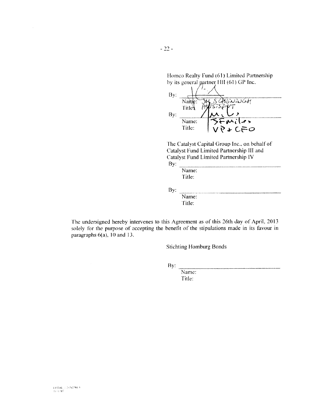Homco Realty Fund (61) Limited Partnership by its general partner HII (61) GP Inc.

| By: |                       |
|-----|-----------------------|
|     | りらんいしんれ<br>Nai        |
| By: | Title                 |
|     | しゃっ<br>Name:          |
|     | Title:<br>$P + C = O$ |

The Catalyst Capital Group Inc., on behalf of Catalyst Fund Limited Partnership III and Catalyst Fund Limited Partnership IV By:

Name: Title:

By: Name:

Title:

The undersigned hereby intervenes to this Agreement as of this 26th day of April, 2013 solely for the purpose of accepting the benefit of the stipulations made in its favour in paragraphs  $6(a)$ , 10 and 13.

**Stichting Homburg Bonds** 

By:

Name: Title: